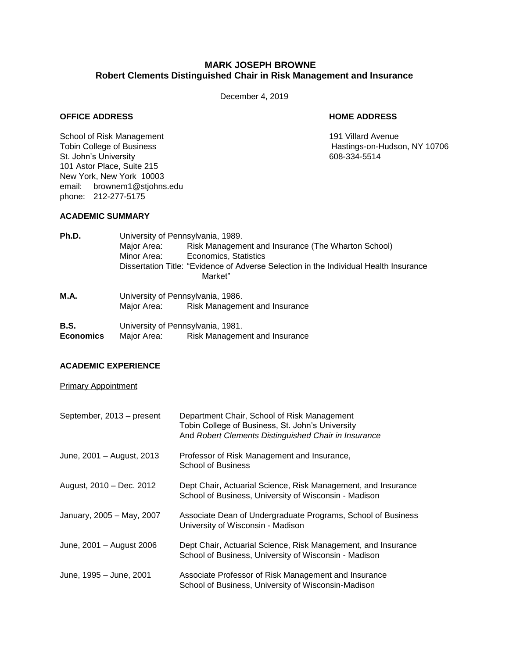# **MARK JOSEPH BROWNE Robert Clements Distinguished Chair in Risk Management and Insurance**

December 4, 2019

## **OFFICE ADDRESS HOME ADDRESS**

School of Risk Management 191 Villard Avenue<br>
Tobin College of Business<br>
191 Villard Avenue<br>
191 Villard Avenue St. John's University **608-334-5514** 101 Astor Place, Suite 215 New York, New York 10003 email: brownem1@stjohns.edu phone: 212-277-5175

Hastings-on-Hudson, NY 10706

## **ACADEMIC SUMMARY**

| Ph.D.            | University of Pennsylvania, 1989.                                                     |                                                    |  |
|------------------|---------------------------------------------------------------------------------------|----------------------------------------------------|--|
|                  | Major Area:                                                                           | Risk Management and Insurance (The Wharton School) |  |
|                  | Minor Area:                                                                           | Economics, Statistics                              |  |
|                  | Dissertation Title: "Evidence of Adverse Selection in the Individual Health Insurance |                                                    |  |
|                  |                                                                                       | Market"                                            |  |
| M.A.             | University of Pennsylvania, 1986.                                                     |                                                    |  |
|                  |                                                                                       | Major Area: Risk Management and Insurance          |  |
| <b>B.S.</b>      |                                                                                       | University of Pennsylvania, 1981.                  |  |
| <b>Economics</b> | Major Area:                                                                           | Risk Management and Insurance                      |  |

## **ACADEMIC EXPERIENCE**

## Primary Appointment

| September, 2013 - present | Department Chair, School of Risk Management<br>Tobin College of Business, St. John's University<br>And Robert Clements Distinguished Chair in Insurance |
|---------------------------|---------------------------------------------------------------------------------------------------------------------------------------------------------|
| June, 2001 - August, 2013 | Professor of Risk Management and Insurance,<br><b>School of Business</b>                                                                                |
| August, 2010 - Dec. 2012  | Dept Chair, Actuarial Science, Risk Management, and Insurance<br>School of Business, University of Wisconsin - Madison                                  |
| January, 2005 - May, 2007 | Associate Dean of Undergraduate Programs, School of Business<br>University of Wisconsin - Madison                                                       |
| June, 2001 - August 2006  | Dept Chair, Actuarial Science, Risk Management, and Insurance<br>School of Business, University of Wisconsin - Madison                                  |
| June, 1995 - June, 2001   | Associate Professor of Risk Management and Insurance<br>School of Business, University of Wisconsin-Madison                                             |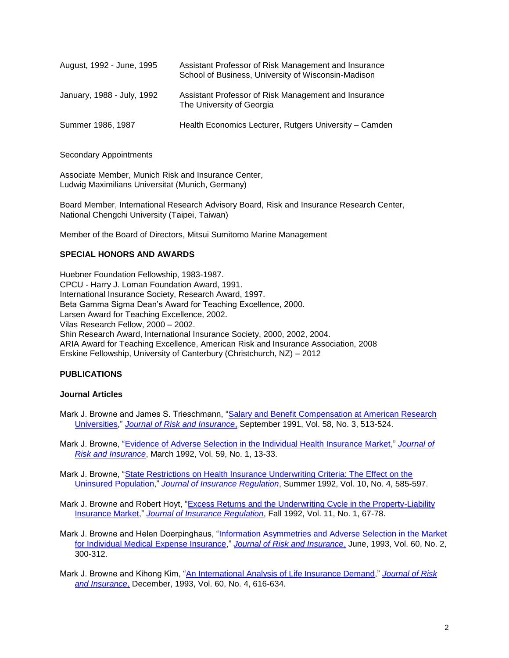| August, 1992 - June, 1995  | Assistant Professor of Risk Management and Insurance<br>School of Business, University of Wisconsin-Madison |
|----------------------------|-------------------------------------------------------------------------------------------------------------|
| January, 1988 - July, 1992 | Assistant Professor of Risk Management and Insurance<br>The University of Georgia                           |
| Summer 1986, 1987          | Health Economics Lecturer, Rutgers University - Camden                                                      |

## **Secondary Appointments**

Associate Member, Munich Risk and Insurance Center, Ludwig Maximilians Universitat (Munich, Germany)

Board Member, International Research Advisory Board, Risk and Insurance Research Center, National Chengchi University (Taipei, Taiwan)

Member of the Board of Directors, Mitsui Sumitomo Marine Management

## **SPECIAL HONORS AND AWARDS**

Huebner Foundation Fellowship, 1983-1987. CPCU - Harry J. Loman Foundation Award, 1991. International Insurance Society, Research Award, 1997. Beta Gamma Sigma Dean's Award for Teaching Excellence, 2000. Larsen Award for Teaching Excellence, 2002. Vilas Research Fellow, 2000 – 2002. Shin Research Award, International Insurance Society, 2000, 2002, 2004. ARIA Award for Teaching Excellence, American Risk and Insurance Association, 2008 Erskine Fellowship, University of Canterbury (Christchurch, NZ) – 2012

# **PUBLICATIONS**

## **Journal Articles**

Mark J. Browne and James S. Trieschmann, ["Salary and Benefit Compensation at American Research](http://www.bus.wisc.edu/asrmi/visitors/Browne%20Trieschmann,%20Sept%201991%20paper.pdf)  [Universities,](http://www.bus.wisc.edu/asrmi/visitors/Browne%20Trieschmann,%20Sept%201991%20paper.pdf)" *[Journal of Risk and Insurance](http://www.jstor.org/journals/00224367.html)*, September 1991, Vol. 58, No. 3, 513-524.

Mark J. Browne, ["Evidence of Adverse Selection in the Individual Health Insurance Market,](http://www.bus.wisc.edu/asrmi/visitors/Browne,%20Mar%201992%20paper.pdf)" *[Journal of](http://www.jstor.org/journals/00224367.html)  [Risk and Insurance](http://www.jstor.org/journals/00224367.html)*, March 1992, Vol. 59, No. 1, 13-33.

Mark J. Browne, ["State Restrictions on Health Insurance Underwriting Criteria: The Effect on the](http://www.bus.wisc.edu/asrmi/visitors/State%20Restrictions%20on%20Health%20Insurance%20Underwriting.pdf)  [Uninsured Population,](http://www.bus.wisc.edu/asrmi/visitors/State%20Restrictions%20on%20Health%20Insurance%20Underwriting.pdf)" *[Journal of Insurance Regulation](http://www.naic.org/store_jir.htm)*, Summer 1992, Vol. 10, No. 4, 585-597.

Mark J. Browne and Robert Hoyt, ["Excess Returns and the Underwriting Cycle in the Property-Liability](http://www.bus.wisc.edu/asrmi/visitors/Excess%20Returns%20and%20the%20Underwriting%20Cycle.pdf)  [Insurance Market,](http://www.bus.wisc.edu/asrmi/visitors/Excess%20Returns%20and%20the%20Underwriting%20Cycle.pdf)" *[Journal of Insurance Regulation](http://www.naic.org/store_jir.htm)*, Fall 1992, Vol. 11, No. 1, 67-78.

- Mark J. Browne and Helen Doerpinghaus, ["Information Asymmetries and Adverse Selection in the Market](http://www.bus.wisc.edu/asrmi/visitors/Browne%20Doerpinghaus,%20Jun%201993%20JRI%20paper.pdf)  [for Individual Medical Expense Insurance,](http://www.bus.wisc.edu/asrmi/visitors/Browne%20Doerpinghaus,%20Jun%201993%20JRI%20paper.pdf)" *[Journal of Risk and Insurance](http://www.jstor.org/journals/00224367.html)*, June, 1993, Vol. 60, No. 2, 300-312.
- Mark J. Browne and Kihong Kim, ["An International Analysis of Life Insurance Demand,](http://www.bus.wisc.edu/asrmi/visitors/Browne%20and%20Kim,%20Dec%202003%20JRI%20paper.pdf)" *[Journal of Risk](http://www.jstor.org/journals/00224367.html)  [and Insurance](http://www.jstor.org/journals/00224367.html)*, December, 1993, Vol. 60, No. 4, 616-634.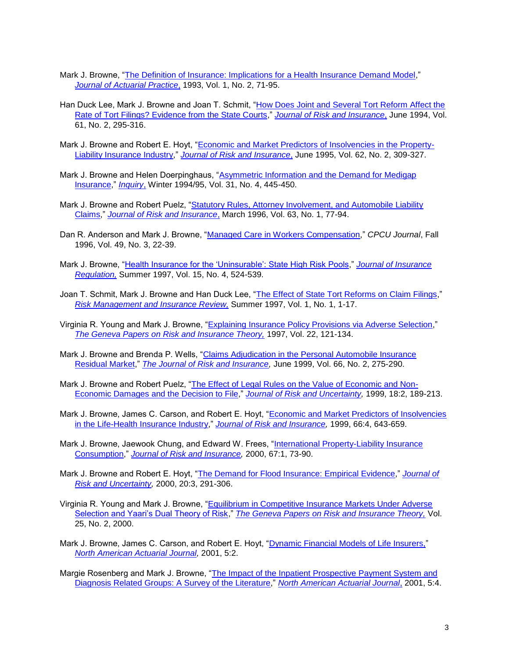- Mark J. Browne, ["The Definition of Insurance: Implications for a Health Insurance Demand Model,](http://www.bus.wisc.edu/asrmi/visitors/The%20Definition%20of%20Insurance%20Implications%20for.pdf)" *[Journal of Actuarial Practice](http://www.absalompress.com/)*, 1993, Vol. 1, No. 2, 71-95.
- Han Duck Lee, Mark J. Browne and Joan T. Schmit, ["How Does Joint and Several Tort Reform Affect the](http://www.bus.wisc.edu/asrmi/visitors/Browne,%20Lee%20and%20Schmit,%20Jun%201994.pdf)  Rate of Tort [Filings? Evidence from the State Courts,](http://www.bus.wisc.edu/asrmi/visitors/Browne,%20Lee%20and%20Schmit,%20Jun%201994.pdf)" *[Journal of Risk and Insurance](http://www.jstor.org/journals/00224367.html)*, June 1994, Vol. 61, No. 2, 295-316.
- Mark J. Browne and Robert E. Hoyt, ["Economic and Market Predictors of Insolvencies in the Property-](http://www.bus.wisc.edu/asrmi/visitors/Browne%20and%20Hoyt,%20Jun%201995.pdf)[Liability Insurance Industry,](http://www.bus.wisc.edu/asrmi/visitors/Browne%20and%20Hoyt,%20Jun%201995.pdf)" *[Journal of Risk and Insurance](http://www.jstor.org/journals/00224367.html)*, June 1995, Vol. 62, No. 2, 309-327.
- Mark J. Browne and Helen Doerpinghaus, ["Asymmetric Information and the Demand for Medigap](http://www.bus.wisc.edu/asrmi/visitors/Asymmetric%20Information.pdf)  [Insurance,](http://www.bus.wisc.edu/asrmi/visitors/Asymmetric%20Information.pdf)" *[Inquiry](http://www.inquiryjournal.org/)*, Winter 1994/95, Vol. 31, No. 4, 445-450.
- Mark J. Browne and Robert Puelz, "Statutory Rules, Attorney Involvement, and Automobile Liability [Claims,](http://www.bus.wisc.edu/asrmi/visitors/Browne%20and%20Puelz,%20Mar%201996.pdf)" *[Journal of Risk and Insurance](http://www.jstor.org/journals/00224367.html)*, March 1996, Vol. 63, No. 1, 77-94.
- Dan R. Anderson and Mark J. Browne, ["Managed Care in Workers Compensation,](http://www.bus.wisc.edu/asrmi/visitors/Managed%20Care%20in%20Workers%20Compensation.pdf)" *CPCU Journal*, Fall 1996, Vol. 49, No. 3, 22-39.
- Mark J. Browne, ["Health Insurance for the 'Uninsurable': State High Risk Pools,](http://www.bus.wisc.edu/asrmi/visitors/Health%20Insurance%20for%20the%20Uninsurable.pdf)" *[Journal of Insurance](http://www.naic.org/store_jir.htm)  [Regulation,](http://www.naic.org/store_jir.htm)* Summer 1997, Vol. 15, No. 4, 524-539.
- Joan T. Schmit, Mark J. Browne and Han Duck Lee, ["The Effect of State Tort Reforms on Claim Filings,](http://www.bus.wisc.edu/asrmi/visitors/The%20Effect%20of%20State%20Tort%20.pdf)" *[Risk Management and Insurance Review,](http://www.blackwellpublishing.com/journal.asp?ref=1098-1616&site=1)* Summer 1997, Vol. 1, No. 1, 1-17.
- Virginia R. Young and Mark J. Browne, ["Explaining Insurance Policy Provisions via Adverse Selection,](http://www.bus.wisc.edu/asrmi/visitors/Explaining%20Insurance%20Policy%20Provisions.pdf)" *[The Geneva Papers on Risk and Insurance Theory,](http://www.springerlink.com/(qh4kb555nsx13b55rddrtu3f)/app/home/journal.asp?referrer=parent&backto=linkingpublicationresults,1:102897,1)* 1997, Vol. 22, 121-134.
- Mark J. Browne and Brenda P. Wells, ["Claims Adjudication in the Personal Automobile Insurance](http://www.bus.wisc.edu/asrmi/visitors/Browne%20and%20Wells,%20Jun%201999.pdf)  [Residual Market,](http://www.bus.wisc.edu/asrmi/visitors/Browne%20and%20Wells,%20Jun%201999.pdf)" *[The Journal of Risk and Insurance,](http://www.jstor.org/journals/00224367.html)* June 1999, Vol. 66, No. 2, 275-290.
- Mark J. Browne and Robert Puelz, ["The Effect of Legal Rules on the Value of Economic and Non-](http://www.bus.wisc.edu/asrmi/visitors/The%20Effect%20of%20Legal%20Rules%20on%20the%20Value.pdf)[Economic Damages and the Decision to File,](http://www.bus.wisc.edu/asrmi/visitors/The%20Effect%20of%20Legal%20Rules%20on%20the%20Value.pdf)" *[Journal of Risk and Uncertainty,](http://www.springer.com/sgw/cda/frontpage/0,,4-40532-70-35544996-0,00.html)* 1999, 18:2, 189-213.
- Mark J. Browne, James C. Carson, and Robert E. Hoyt, ["Economic and Market Predictors of Insolvencies](http://www.bus.wisc.edu/asrmi/visitors/Browne,%20Carson%20and%20Hoyt,%20JRI,%20Dec%201999.pdf)  [in the Life-Health Insurance Industry,](http://www.bus.wisc.edu/asrmi/visitors/Browne,%20Carson%20and%20Hoyt,%20JRI,%20Dec%201999.pdf)" *[Journal of Risk and Insurance,](http://www.jstor.org/journals/00224367.html)* 1999, 66:4, 643-659.
- Mark J. Browne, Jaewook Chung, and Edward W. Frees, ["International Property-Liability Insurance](http://www.bus.wisc.edu/asrmi/visitors/Browne,%20Chung%20and%20Frees,%20JRI,%20Mar%202000.pdf)  [Consumption,](http://www.bus.wisc.edu/asrmi/visitors/Browne,%20Chung%20and%20Frees,%20JRI,%20Mar%202000.pdf)" *[Journal of Risk and Insurance,](http://www.jstor.org/journals/00224367.html)* 2000, 67:1, 73-90.
- Mark J. Browne and Robert E. Hoyt, ["The Demand for Flood Insurance: Empirical Evidence,](http://www.bus.wisc.edu/asrmi/visitors/The%20Demand%20for%20Flood%20Insurance.pdf)" *[Journal of](http://www.springer.com/sgw/cda/frontpage/0,,4-40532-70-35544996-0,00.html)  [Risk and Uncertainty,](http://www.springer.com/sgw/cda/frontpage/0,,4-40532-70-35544996-0,00.html)* 2000, 20:3, 291-306.
- Virginia R. Young and Mark J. Browne, ["Equilibrium in Competitive Insurance Markets Under Adverse](http://www.bus.wisc.edu/asrmi/visitors/Equilibrium%20in%20Competitive%20Insurance%20Markets.pdf)  [Selection and Yaari's Dual Theory of Risk,](http://www.bus.wisc.edu/asrmi/visitors/Equilibrium%20in%20Competitive%20Insurance%20Markets.pdf)" *[The Geneva Papers on Risk and Insurance Theory,](http://www.springerlink.com/(qh4kb555nsx13b55rddrtu3f)/app/home/journal.asp?referrer=parent&backto=linkingpublicationresults,1:102897,1)* Vol. 25, No. 2, 2000.
- Mark J. Browne, James C. Carson, and Robert E. Hoyt, ["Dynamic Financial Models of Life Insurers,"](http://library.soa.org/library/naaj/1997-09/naaj0104_2.pdf) *[North American Actuarial Journal,](http://www.soa.org/ccm/content/research-publications/library-publications/naaj/2004-issues/naaj-january-2004/)* 2001, 5:2.
- Margie Rosenberg and Mark J. Browne, ["The Impact of the Inpatient Prospective Payment System and](http://library.soa.org/library/naaj/1997-09/naaj0110_6.pdf)  [Diagnosis Related Groups: A Survey of the Literature,](http://library.soa.org/library/naaj/1997-09/naaj0110_6.pdf)" *[North American Actuarial Journal](http://www.soa.org/ccm/content/research-publications/library-publications/naaj/2004-issues/naaj-january-2004/)*, 2001, 5:4.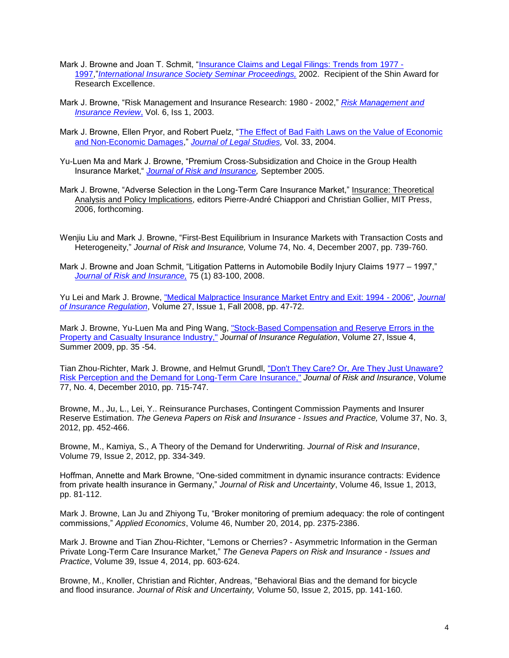- Mark J. Browne and Joan T. Schmit, ["Insurance Claims and Legal Filings: Trends from 1977 -](http://www.iisonline.org/pdf/Brown-Schmidt%20-%20Paper.pdf) [1997,](http://www.iisonline.org/pdf/Brown-Schmidt%20-%20Paper.pdf)"*[International Insurance Society Seminar Proceedings,](http://www.iisonline.org/papers.htm)* 2002. Recipient of the Shin Award for Research Excellence.
- Mark J. Browne, "Risk Management and Insurance Research: 1980 2002," *[Risk Management and](http://www.blackwellpublishing.com/journal.asp?ref=1098-1616&site=1)  [Insurance Review](http://www.blackwellpublishing.com/journal.asp?ref=1098-1616&site=1)*, Vol. 6, Iss 1, 2003.
- Mark J. Browne, Ellen Pryor, and Robert Puelz, "The Effect of Bad Faith Laws on the Value of Economic [and Non-Economic Damages,](http://www.journals.uchicago.edu/JLS/journal/issues/v33n2/330208/330208.web.pdf)" *[Journal of Legal Studies,](http://www.journals.uchicago.edu/JLS/home.html)* Vol. 33, 2004.
- Yu-Luen Ma and Mark J. Browne, "Premium Cross-Subsidization and Choice in the Group Health Insurance Market," *[Journal of Risk and Insurance,](http://www.blackwellpublishing.com/journal.asp?ref=0022-4367&site=1)* September 2005.
- Mark J. Browne, "Adverse Selection in the Long-Term Care Insurance Market," Insurance: Theoretical Analysis and Policy Implications, editors Pierre-André Chiappori and Christian Gollier, MIT Press, 2006, forthcoming.
- Wenjiu Liu and Mark J. Browne, "First-Best Equilibrium in Insurance Markets with Transaction Costs and Heterogeneity," *Journal of Risk and Insurance,* Volume 74, No. 4, December 2007, pp. 739-760.
- Mark J. Browne and Joan Schmit, "Litigation Patterns in Automobile Bodily Injury Claims 1977 1997," *[Journal of Risk and Insurance,](http://www.blackwellpublishing.com/journal.asp?ref=0022-4367&site=1)* 75 (1) 83-100, 2008.

Yu Lei and Mark J. Browne, ["Medical Malpractice Insurance Market Entry and Exit: 1994 -](http://research3.bus.wisc.edu/file.php/128/Medical_Malpractice_Insurance_Market_Entry_and_Exit.pdf) 2006", *[Journal](http://www.naic.org/store_jir.htm)  [of Insurance Regulation](http://www.naic.org/store_jir.htm)*, Volume 27, Issue 1, Fall 2008, pp. 47-72.

Mark J. Browne, Yu-Luen Ma and Ping Wang, ["Stock-Based Compensation and Reserve Errors in the](http://research3.bus.wisc.edu/file.php/128/Executive_Compensation_and_Reserve_Errors_in_PC_Industry.pdf)  [Property and Casualty Insurance Industry,"](http://research3.bus.wisc.edu/file.php/128/Executive_Compensation_and_Reserve_Errors_in_PC_Industry.pdf) *Journal of Insurance Regulation*, Volume 27, Issue 4, Summer 2009, pp. 35 -54.

Tian Zhou-Richter, Mark J. Browne, and Helmut Grundl, "Don't They Care? Or, Are They Just Unaware? [Risk Perception and the Demand for Long-Term Care Insurance,"](http://research3.bus.wisc.edu/file.php/128/Risk_perception_and_demand_for_LTCI_4th_submission.pdf) *Journal of Risk and Insurance*, Volume 77, No. 4, December 2010, pp. 715-747.

Browne, M., Ju, L., Lei, Y.. Reinsurance Purchases, Contingent Commission Payments and Insurer Reserve Estimation. *The Geneva Papers on Risk and Insurance - Issues and Practice,* Volume 37, No. 3, 2012, pp. 452-466.

Browne, M., Kamiya, S., A Theory of the Demand for Underwriting. *Journal of Risk and Insurance*, Volume 79, Issue 2, 2012, pp. 334-349.

Hoffman, Annette and Mark Browne, "One-sided commitment in dynamic insurance contracts: Evidence from private health insurance in Germany," *Journal of Risk and Uncertainty*, Volume 46, Issue 1, 2013, pp. 81-112.

Mark J. Browne, Lan Ju and Zhiyong Tu, "Broker monitoring of premium adequacy: the role of contingent commissions," *Applied Economics*, Volume 46, Number 20, 2014, pp. 2375-2386.

Mark J. Browne and Tian Zhou-Richter, "Lemons or Cherries? - Asymmetric Information in the German Private Long-Term Care Insurance Market," *The Geneva Papers on Risk and Insurance - Issues and Practice*, Volume 39, Issue 4, 2014, pp. 603-624.

Browne, M., Knoller, Christian and Richter, Andreas, "Behavioral Bias and the demand for bicycle and flood insurance. *Journal of Risk and Uncertainty,* Volume 50, Issue 2, 2015, pp. 141-160.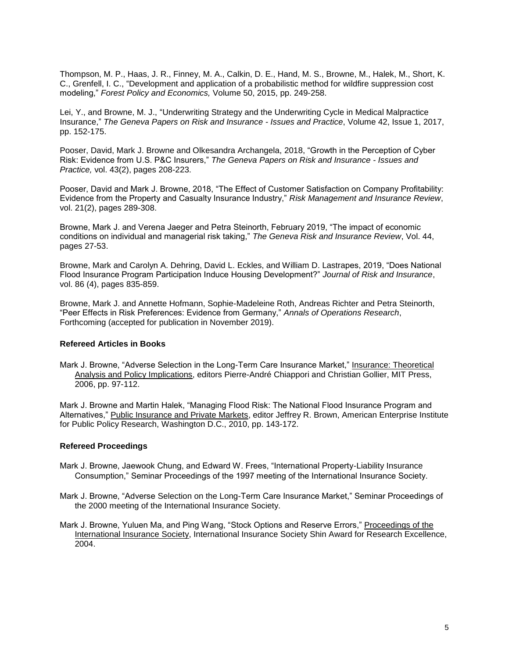Thompson, M. P., Haas, J. R., Finney, M. A., Calkin, D. E., Hand, M. S., Browne, M., Halek, M., Short, K. C., Grenfell, I. C., "Development and application of a probabilistic method for wildfire suppression cost modeling," *Forest Policy and Economics,* Volume 50, 2015, pp. 249-258.

Lei, Y., and Browne, M. J., "Underwriting Strategy and the Underwriting Cycle in Medical Malpractice Insurance," *The Geneva Papers on Risk and Insurance - Issues and Practice*, Volume 42, Issue 1, 2017, pp. 152-175.

Pooser, David, Mark J. Browne and Olkesandra Archangela, 2018, "Growth in the Perception of Cyber Risk: Evidence from U.S. P&C Insurers," *The Geneva Papers on Risk and Insurance - Issues and Practice,* vol. 43(2), pages 208-223.

Pooser, David and Mark J. Browne, 2018, "The Effect of Customer Satisfaction on Company Profitability: Evidence from the Property and Casualty Insurance Industry," *Risk Management and Insurance Review*, vol. 21(2), pages 289-308.

Browne, Mark J. and Verena Jaeger and Petra Steinorth, February 2019, "The impact of economic conditions on individual and managerial risk taking," *The Geneva Risk and Insurance Review*, Vol. 44, pages 27-53.

Browne, Mark and Carolyn A. Dehring, David L. Eckles, and William D. Lastrapes, 2019, "Does National Flood Insurance Program Participation Induce Housing Development?" *Journal of Risk and Insurance*, vol. 86 (4), pages 835-859.

Browne, Mark J. and Annette Hofmann, Sophie-Madeleine Roth, Andreas Richter and Petra Steinorth, "Peer Effects in Risk Preferences: Evidence from Germany," *Annals of Operations Research*, Forthcoming (accepted for publication in November 2019).

## **Refereed Articles in Books**

Mark J. Browne, "Adverse Selection in the Long-Term Care Insurance Market," Insurance: Theoretical Analysis and Policy Implications, editors Pierre-André Chiappori and Christian Gollier, MIT Press, 2006, pp. 97-112.

Mark J. Browne and Martin Halek, "Managing Flood Risk: The National Flood Insurance Program and Alternatives," Public Insurance and Private Markets, editor Jeffrey R. Brown, American Enterprise Institute for Public Policy Research, Washington D.C., 2010, pp. 143-172.

### **Refereed Proceedings**

- Mark J. Browne, Jaewook Chung, and Edward W. Frees, "International Property-Liability Insurance Consumption," Seminar Proceedings of the 1997 meeting of the International Insurance Society.
- Mark J. Browne, "Adverse Selection on the Long-Term Care Insurance Market," Seminar Proceedings of the 2000 meeting of the International Insurance Society.
- Mark J. Browne, Yuluen Ma, and Ping Wang, "Stock Options and Reserve Errors," Proceedings of the International Insurance Society, International Insurance Society Shin Award for Research Excellence, 2004.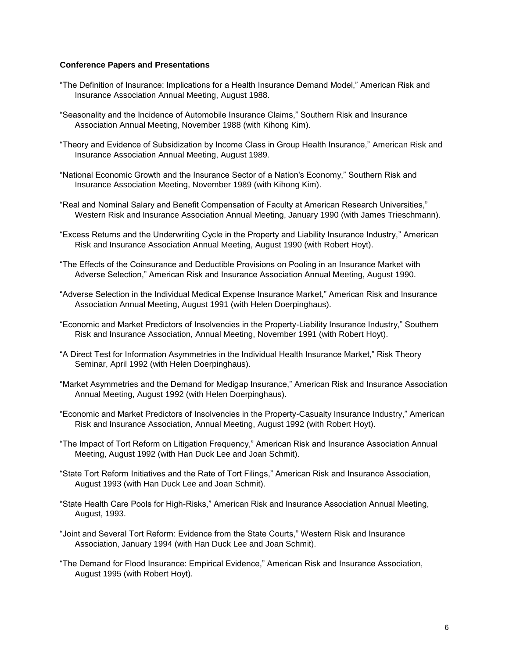### **Conference Papers and Presentations**

- "The Definition of Insurance: Implications for a Health Insurance Demand Model," American Risk and Insurance Association Annual Meeting, August 1988.
- "Seasonality and the Incidence of Automobile Insurance Claims," Southern Risk and Insurance Association Annual Meeting, November 1988 (with Kihong Kim).
- "Theory and Evidence of Subsidization by Income Class in Group Health Insurance," American Risk and Insurance Association Annual Meeting, August 1989.
- "National Economic Growth and the Insurance Sector of a Nation's Economy," Southern Risk and Insurance Association Meeting, November 1989 (with Kihong Kim).
- "Real and Nominal Salary and Benefit Compensation of Faculty at American Research Universities," Western Risk and Insurance Association Annual Meeting, January 1990 (with James Trieschmann).
- "Excess Returns and the Underwriting Cycle in the Property and Liability Insurance Industry," American Risk and Insurance Association Annual Meeting, August 1990 (with Robert Hoyt).
- "The Effects of the Coinsurance and Deductible Provisions on Pooling in an Insurance Market with Adverse Selection," American Risk and Insurance Association Annual Meeting, August 1990.
- "Adverse Selection in the Individual Medical Expense Insurance Market," American Risk and Insurance Association Annual Meeting, August 1991 (with Helen Doerpinghaus).
- "Economic and Market Predictors of Insolvencies in the Property-Liability Insurance Industry," Southern Risk and Insurance Association, Annual Meeting, November 1991 (with Robert Hoyt).
- "A Direct Test for Information Asymmetries in the Individual Health Insurance Market," Risk Theory Seminar, April 1992 (with Helen Doerpinghaus).
- "Market Asymmetries and the Demand for Medigap Insurance," American Risk and Insurance Association Annual Meeting, August 1992 (with Helen Doerpinghaus).
- "Economic and Market Predictors of Insolvencies in the Property-Casualty Insurance Industry," American Risk and Insurance Association, Annual Meeting, August 1992 (with Robert Hoyt).
- "The Impact of Tort Reform on Litigation Frequency," American Risk and Insurance Association Annual Meeting, August 1992 (with Han Duck Lee and Joan Schmit).
- "State Tort Reform Initiatives and the Rate of Tort Filings," American Risk and Insurance Association, August 1993 (with Han Duck Lee and Joan Schmit).
- "State Health Care Pools for High-Risks," American Risk and Insurance Association Annual Meeting, August, 1993.
- "Joint and Several Tort Reform: Evidence from the State Courts," Western Risk and Insurance Association, January 1994 (with Han Duck Lee and Joan Schmit).
- "The Demand for Flood Insurance: Empirical Evidence," American Risk and Insurance Association, August 1995 (with Robert Hoyt).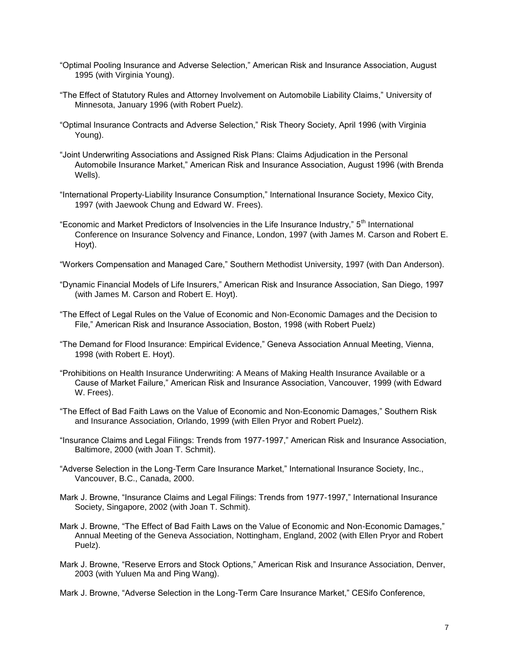- "Optimal Pooling Insurance and Adverse Selection," American Risk and Insurance Association, August 1995 (with Virginia Young).
- "The Effect of Statutory Rules and Attorney Involvement on Automobile Liability Claims," University of Minnesota, January 1996 (with Robert Puelz).
- "Optimal Insurance Contracts and Adverse Selection," Risk Theory Society, April 1996 (with Virginia Young).
- "Joint Underwriting Associations and Assigned Risk Plans: Claims Adjudication in the Personal Automobile Insurance Market," American Risk and Insurance Association, August 1996 (with Brenda Wells).
- "International Property-Liability Insurance Consumption," International Insurance Society, Mexico City, 1997 (with Jaewook Chung and Edward W. Frees).
- "Economic and Market Predictors of Insolvencies in the Life Insurance Industry," 5<sup>th</sup> International Conference on Insurance Solvency and Finance, London, 1997 (with James M. Carson and Robert E. Hoyt).
- "Workers Compensation and Managed Care," Southern Methodist University, 1997 (with Dan Anderson).
- "Dynamic Financial Models of Life Insurers," American Risk and Insurance Association, San Diego, 1997 (with James M. Carson and Robert E. Hoyt).
- "The Effect of Legal Rules on the Value of Economic and Non-Economic Damages and the Decision to File," American Risk and Insurance Association, Boston, 1998 (with Robert Puelz)
- "The Demand for Flood Insurance: Empirical Evidence," Geneva Association Annual Meeting, Vienna, 1998 (with Robert E. Hoyt).
- "Prohibitions on Health Insurance Underwriting: A Means of Making Health Insurance Available or a Cause of Market Failure," American Risk and Insurance Association, Vancouver, 1999 (with Edward W. Frees).
- "The Effect of Bad Faith Laws on the Value of Economic and Non-Economic Damages," Southern Risk and Insurance Association, Orlando, 1999 (with Ellen Pryor and Robert Puelz).
- "Insurance Claims and Legal Filings: Trends from 1977-1997," American Risk and Insurance Association, Baltimore, 2000 (with Joan T. Schmit).
- "Adverse Selection in the Long-Term Care Insurance Market," International Insurance Society, Inc., Vancouver, B.C., Canada, 2000.
- Mark J. Browne, "Insurance Claims and Legal Filings: Trends from 1977-1997," International Insurance Society, Singapore, 2002 (with Joan T. Schmit).
- Mark J. Browne, "The Effect of Bad Faith Laws on the Value of Economic and Non-Economic Damages," Annual Meeting of the Geneva Association, Nottingham, England, 2002 (with Ellen Pryor and Robert Puelz).
- Mark J. Browne, "Reserve Errors and Stock Options," American Risk and Insurance Association, Denver, 2003 (with Yuluen Ma and Ping Wang).
- Mark J. Browne, "Adverse Selection in the Long-Term Care Insurance Market," CESifo Conference,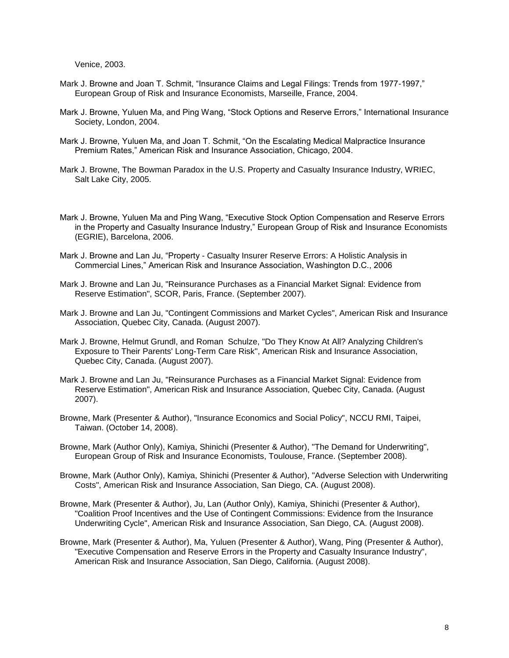Venice, 2003.

- Mark J. Browne and Joan T. Schmit, "Insurance Claims and Legal Filings: Trends from 1977-1997." European Group of Risk and Insurance Economists, Marseille, France, 2004.
- Mark J. Browne, Yuluen Ma, and Ping Wang, "Stock Options and Reserve Errors," International Insurance Society, London, 2004.
- Mark J. Browne, Yuluen Ma, and Joan T. Schmit, "On the Escalating Medical Malpractice Insurance Premium Rates," American Risk and Insurance Association, Chicago, 2004.
- Mark J. Browne, The Bowman Paradox in the U.S. Property and Casualty Insurance Industry, WRIEC, Salt Lake City, 2005.
- Mark J. Browne, Yuluen Ma and Ping Wang, "Executive Stock Option Compensation and Reserve Errors in the Property and Casualty Insurance Industry," European Group of Risk and Insurance Economists (EGRIE), Barcelona, 2006.
- Mark J. Browne and Lan Ju, "Property Casualty Insurer Reserve Errors: A Holistic Analysis in Commercial Lines," American Risk and Insurance Association, Washington D.C., 2006
- Mark J. Browne and Lan Ju, "Reinsurance Purchases as a Financial Market Signal: Evidence from Reserve Estimation", SCOR, Paris, France. (September 2007).
- Mark J. Browne and Lan Ju, "Contingent Commissions and Market Cycles", American Risk and Insurance Association, Quebec City, Canada. (August 2007).
- Mark J. Browne, Helmut Grundl, and Roman Schulze, "Do They Know At All? Analyzing Children's Exposure to Their Parents' Long-Term Care Risk", American Risk and Insurance Association, Quebec City, Canada. (August 2007).
- Mark J. Browne and Lan Ju, "Reinsurance Purchases as a Financial Market Signal: Evidence from Reserve Estimation", American Risk and Insurance Association, Quebec City, Canada. (August 2007).
- Browne, Mark (Presenter & Author), "Insurance Economics and Social Policy", NCCU RMI, Taipei, Taiwan. (October 14, 2008).
- Browne, Mark (Author Only), Kamiya, Shinichi (Presenter & Author), "The Demand for Underwriting", European Group of Risk and Insurance Economists, Toulouse, France. (September 2008).
- Browne, Mark (Author Only), Kamiya, Shinichi (Presenter & Author), "Adverse Selection with Underwriting Costs", American Risk and Insurance Association, San Diego, CA. (August 2008).
- Browne, Mark (Presenter & Author), Ju, Lan (Author Only), Kamiya, Shinichi (Presenter & Author), "Coalition Proof Incentives and the Use of Contingent Commissions: Evidence from the Insurance Underwriting Cycle", American Risk and Insurance Association, San Diego, CA. (August 2008).
- Browne, Mark (Presenter & Author), Ma, Yuluen (Presenter & Author), Wang, Ping (Presenter & Author), "Executive Compensation and Reserve Errors in the Property and Casualty Insurance Industry", American Risk and Insurance Association, San Diego, California. (August 2008).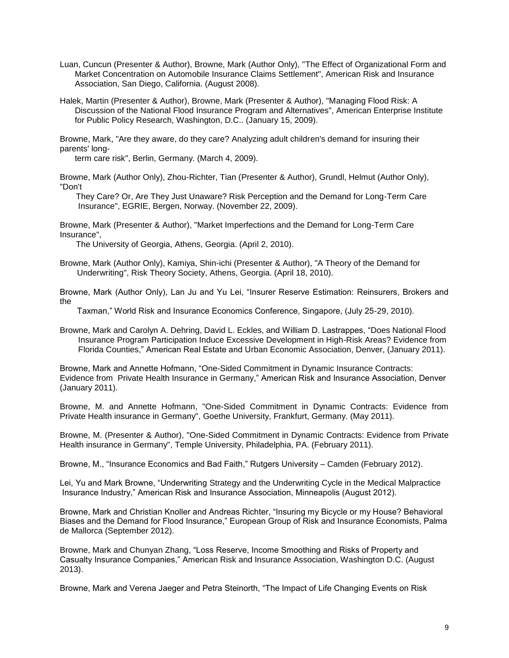- Luan, Cuncun (Presenter & Author), Browne, Mark (Author Only), "The Effect of Organizational Form and Market Concentration on Automobile Insurance Claims Settlement", American Risk and Insurance Association, San Diego, California. (August 2008).
- Halek, Martin (Presenter & Author), Browne, Mark (Presenter & Author), "Managing Flood Risk: A Discussion of the National Flood Insurance Program and Alternatives", American Enterprise Institute for Public Policy Research, Washington, D.C.. (January 15, 2009).

Browne, Mark, "Are they aware, do they care? Analyzing adult children's demand for insuring their parents' long-

term care risk", Berlin, Germany. (March 4, 2009).

Browne, Mark (Author Only), Zhou-Richter, Tian (Presenter & Author), Grundl, Helmut (Author Only), "Don't

 They Care? Or, Are They Just Unaware? Risk Perception and the Demand for Long-Term Care Insurance", EGRIE, Bergen, Norway. (November 22, 2009).

Browne, Mark (Presenter & Author), "Market Imperfections and the Demand for Long-Term Care Insurance",

The University of Georgia, Athens, Georgia. (April 2, 2010).

Browne, Mark (Author Only), Kamiya, Shin-ichi (Presenter & Author), "A Theory of the Demand for Underwriting", Risk Theory Society, Athens, Georgia. (April 18, 2010).

Browne, Mark (Author Only), Lan Ju and Yu Lei, "Insurer Reserve Estimation: Reinsurers, Brokers and the

Taxman," World Risk and Insurance Economics Conference, Singapore, (July 25-29, 2010).

Browne, Mark and Carolyn A. Dehring, David L. Eckles, and William D. Lastrappes, "Does National Flood Insurance Program Participation Induce Excessive Development in High-Risk Areas? Evidence from Florida Counties," American Real Estate and Urban Economic Association, Denver, (January 2011).

Browne, Mark and Annette Hofmann, "One-Sided Commitment in Dynamic Insurance Contracts: Evidence from Private Health Insurance in Germany," American Risk and Insurance Association, Denver (January 2011).

Browne, M. and Annette Hofmann, "One-Sided Commitment in Dynamic Contracts: Evidence from Private Health insurance in Germany", Goethe University, Frankfurt, Germany. (May 2011).

Browne, M. (Presenter & Author), "One-Sided Commitment in Dynamic Contracts: Evidence from Private Health insurance in Germany", Temple University, Philadelphia, PA. (February 2011).

Browne, M., "Insurance Economics and Bad Faith," Rutgers University – Camden (February 2012).

Lei, Yu and Mark Browne, "Underwriting Strategy and the Underwriting Cycle in the Medical Malpractice Insurance Industry," American Risk and Insurance Association, Minneapolis (August 2012).

Browne, Mark and Christian Knoller and Andreas Richter, "Insuring my Bicycle or my House? Behavioral Biases and the Demand for Flood Insurance," European Group of Risk and Insurance Economists, Palma de Mallorca (September 2012).

Browne, Mark and Chunyan Zhang, "Loss Reserve, Income Smoothing and Risks of Property and Casualty Insurance Companies," American Risk and Insurance Association, Washington D.C. (August 2013).

Browne, Mark and Verena Jaeger and Petra Steinorth, "The Impact of Life Changing Events on Risk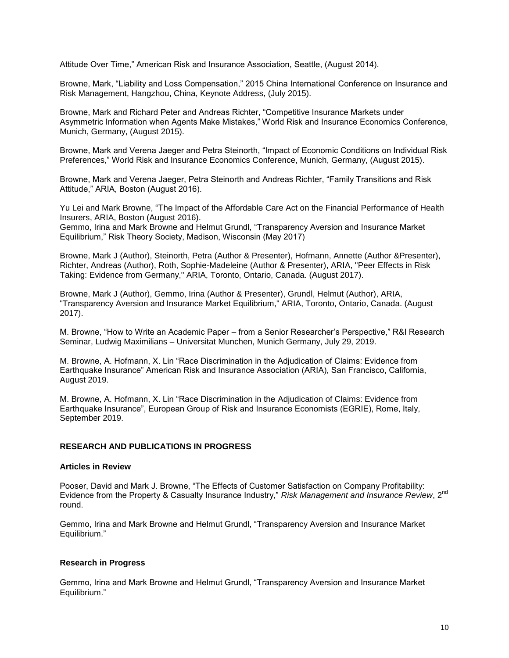Attitude Over Time," American Risk and Insurance Association, Seattle, (August 2014).

Browne, Mark, "Liability and Loss Compensation," 2015 China International Conference on Insurance and Risk Management, Hangzhou, China, Keynote Address, (July 2015).

Browne, Mark and Richard Peter and Andreas Richter, "Competitive Insurance Markets under Asymmetric Information when Agents Make Mistakes," World Risk and Insurance Economics Conference, Munich, Germany, (August 2015).

Browne, Mark and Verena Jaeger and Petra Steinorth, "Impact of Economic Conditions on Individual Risk Preferences," World Risk and Insurance Economics Conference, Munich, Germany, (August 2015).

Browne, Mark and Verena Jaeger, Petra Steinorth and Andreas Richter, "Family Transitions and Risk Attitude," ARIA, Boston (August 2016).

Yu Lei and Mark Browne, "The Impact of the Affordable Care Act on the Financial Performance of Health Insurers, ARIA, Boston (August 2016).

Gemmo, Irina and Mark Browne and Helmut Grundl, "Transparency Aversion and Insurance Market Equilibrium," Risk Theory Society, Madison, Wisconsin (May 2017)

Browne, Mark J (Author), Steinorth, Petra (Author & Presenter), Hofmann, Annette (Author &Presenter), Richter, Andreas (Author), Roth, Sophie-Madeleine (Author & Presenter), ARIA, "Peer Effects in Risk Taking: Evidence from Germany," ARIA, Toronto, Ontario, Canada. (August 2017).

Browne, Mark J (Author), Gemmo, Irina (Author & Presenter), Grundl, Helmut (Author), ARIA, "Transparency Aversion and Insurance Market Equilibrium," ARIA, Toronto, Ontario, Canada. (August 2017).

M. Browne, "How to Write an Academic Paper – from a Senior Researcher's Perspective," R&I Research Seminar, Ludwig Maximilians – Universitat Munchen, Munich Germany, July 29, 2019.

M. Browne, A. Hofmann, X. Lin "Race Discrimination in the Adjudication of Claims: Evidence from Earthquake Insurance" American Risk and Insurance Association (ARIA), San Francisco, California, August 2019.

M. Browne, A. Hofmann, X. Lin "Race Discrimination in the Adjudication of Claims: Evidence from Earthquake Insurance", European Group of Risk and Insurance Economists (EGRIE), Rome, Italy, September 2019.

## **RESEARCH AND PUBLICATIONS IN PROGRESS**

### **Articles in Review**

Pooser, David and Mark J. Browne, "The Effects of Customer Satisfaction on Company Profitability: Evidence from the Property & Casualty Insurance Industry," *Risk Management and Insurance Review*, 2nd round.

Gemmo, Irina and Mark Browne and Helmut Grundl, "Transparency Aversion and Insurance Market Equilibrium."

### **Research in Progress**

Gemmo, Irina and Mark Browne and Helmut Grundl, "Transparency Aversion and Insurance Market Equilibrium."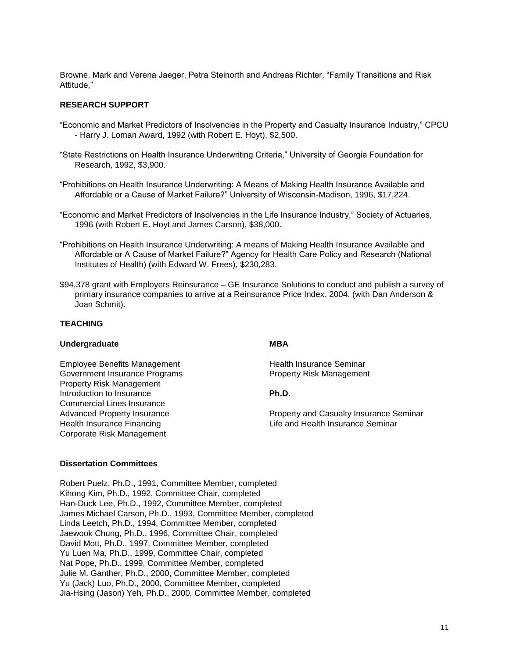Browne, Mark and Verena Jaeger, Petra Steinorth and Andreas Richter, "Family Transitions and Risk Attitude,"

## **RESEARCH SUPPORT**

- "Economic and Market Predictors of Insolvencies in the Property and Casualty Insurance Industry," CPCU - Harry J. Loman Award, 1992 (with Robert E. Hoyt), \$2,500.
- "State Restrictions on Health Insurance Underwriting Criteria," University of Georgia Foundation for Research, 1992, \$3,900.
- "Prohibitions on Health Insurance Underwriting: A Means of Making Health Insurance Available and Affordable or a Cause of Market Failure?" University of Wisconsin-Madison, 1996, \$17,224.
- "Economic and Market Predictors of Insolvencies in the Life Insurance Industry," Society of Actuaries, 1996 (with Robert E. Hoyt and James Carson), \$38,000.
- "Prohibitions on Health Insurance Underwriting: A means of Making Health Insurance Available and Affordable or A Cause of Market Failure?" Agency for Health Care Policy and Research (National Institutes of Health) (with Edward W. Frees), \$230,283.
- \$94,378 grant with Employers Reinsurance GE Insurance Solutions to conduct and publish a survey of primary insurance companies to arrive at a Reinsurance Price Index, 2004. (with Dan Anderson & Joan Schmit).

## **TEACHING**

## **Undergraduate MBA**

Employee Benefits Management **Health Insurance Seminar** Government Insurance Programs **Property Risk Management** Property Risk Management Introduction to Insurance **Ph.D.** Commercial Lines Insurance Corporate Risk Management

Advanced Property Insurance **Property Advanced Property Insurance** Property and Casualty Insurance Seminar Health Insurance Financing Life and Health Insurance Seminar

### **Dissertation Committees**

Robert Puelz, Ph.D., 1991, Committee Member, completed Kihong Kim, Ph.D., 1992, Committee Chair, completed Han-Duck Lee, Ph.D., 1992, Committee Member, completed James Michael Carson, Ph.D., 1993, Committee Member, completed Linda Leetch, Ph.D., 1994, Committee Member, completed Jaewook Chung, Ph.D., 1996, Committee Chair, completed David Mott, Ph.D., 1997, Committee Member, completed Yu Luen Ma, Ph.D., 1999, Committee Chair, completed Nat Pope, Ph.D., 1999, Committee Member, completed Julie M. Ganther, Ph.D., 2000, Committee Member, completed Yu (Jack) Luo, Ph.D., 2000, Committee Member, completed Jia-Hsing (Jason) Yeh, Ph.D., 2000, Committee Member, completed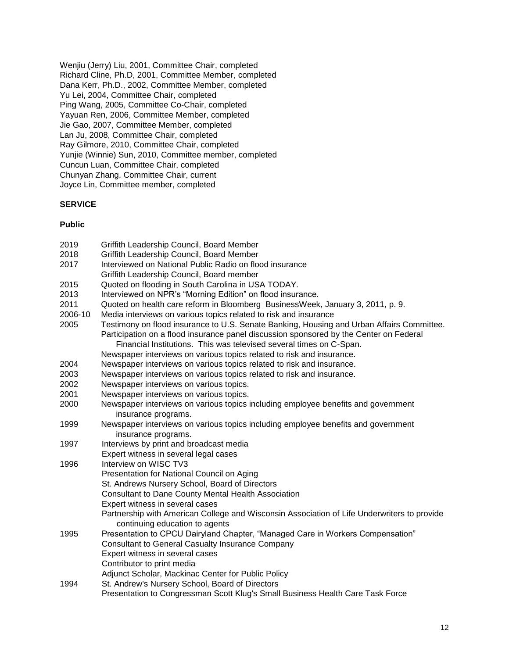Wenjiu (Jerry) Liu, 2001, Committee Chair, completed Richard Cline, Ph.D, 2001, Committee Member, completed Dana Kerr, Ph.D., 2002, Committee Member, completed Yu Lei, 2004, Committee Chair, completed Ping Wang, 2005, Committee Co-Chair, completed Yayuan Ren, 2006, Committee Member, completed Jie Gao, 2007, Committee Member, completed Lan Ju, 2008, Committee Chair, completed Ray Gilmore, 2010, Committee Chair, completed Yunjie (Winnie) Sun, 2010, Committee member, completed Cuncun Luan, Committee Chair, completed Chunyan Zhang, Committee Chair, current Joyce Lin, Committee member, completed

## **SERVICE**

## **Public**

| 2019    | Griffith Leadership Council, Board Member                                                   |
|---------|---------------------------------------------------------------------------------------------|
| 2018    | Griffith Leadership Council, Board Member                                                   |
| 2017    | Interviewed on National Public Radio on flood insurance                                     |
|         | Griffith Leadership Council, Board member                                                   |
| 2015    | Quoted on flooding in South Carolina in USA TODAY.                                          |
| 2013    | Interviewed on NPR's "Morning Edition" on flood insurance.                                  |
| 2011    | Quoted on health care reform in Bloomberg BusinessWeek, January 3, 2011, p. 9.              |
| 2006-10 | Media interviews on various topics related to risk and insurance                            |
| 2005    | Testimony on flood insurance to U.S. Senate Banking, Housing and Urban Affairs Committee.   |
|         | Participation on a flood insurance panel discussion sponsored by the Center on Federal      |
|         | Financial Institutions. This was televised several times on C-Span.                         |
|         | Newspaper interviews on various topics related to risk and insurance.                       |
| 2004    | Newspaper interviews on various topics related to risk and insurance.                       |
| 2003    | Newspaper interviews on various topics related to risk and insurance.                       |
| 2002    | Newspaper interviews on various topics.                                                     |
| 2001    | Newspaper interviews on various topics.                                                     |
| 2000    | Newspaper interviews on various topics including employee benefits and government           |
|         | insurance programs.                                                                         |
| 1999    | Newspaper interviews on various topics including employee benefits and government           |
|         | insurance programs.                                                                         |
| 1997    | Interviews by print and broadcast media                                                     |
|         | Expert witness in several legal cases                                                       |
| 1996    | Interview on WISC TV3                                                                       |
|         | Presentation for National Council on Aging                                                  |
|         | St. Andrews Nursery School, Board of Directors                                              |
|         | <b>Consultant to Dane County Mental Health Association</b>                                  |
|         | Expert witness in several cases                                                             |
|         | Partnership with American College and Wisconsin Association of Life Underwriters to provide |
|         | continuing education to agents                                                              |
| 1995    | Presentation to CPCU Dairyland Chapter, "Managed Care in Workers Compensation"              |
|         | <b>Consultant to General Casualty Insurance Company</b>                                     |
|         | Expert witness in several cases                                                             |
|         | Contributor to print media                                                                  |
|         | Adjunct Scholar, Mackinac Center for Public Policy                                          |
| 1994    | St. Andrew's Nursery School, Board of Directors                                             |
|         | Presentation to Congressman Scott Klug's Small Business Health Care Task Force              |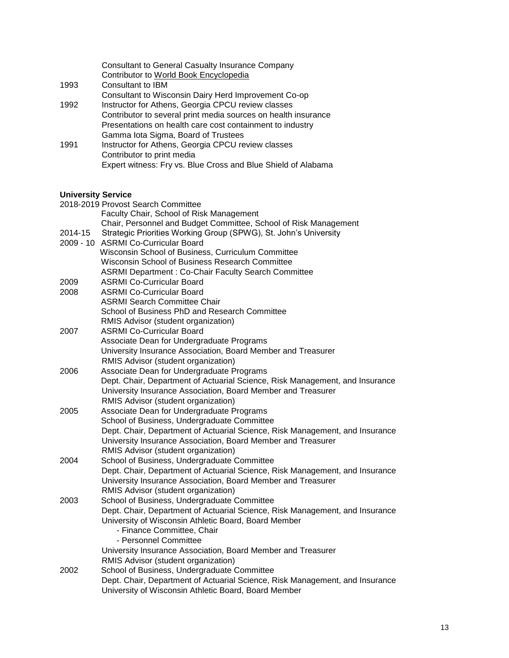|      | <b>Consultant to General Casualty Insurance Company</b>        |
|------|----------------------------------------------------------------|
|      | Contributor to World Book Encyclopedia                         |
| 1993 | Consultant to IBM                                              |
|      | Consultant to Wisconsin Dairy Herd Improvement Co-op           |
| 1992 | Instructor for Athens, Georgia CPCU review classes             |
|      | Contributor to several print media sources on health insurance |
|      | Presentations on health care cost containment to industry      |
|      | Gamma lota Sigma, Board of Trustees                            |
| 1991 | Instructor for Athens, Georgia CPCU review classes             |
|      | Contributor to print media                                     |
|      | Expert witness: Fry vs. Blue Cross and Blue Shield of Alabama  |

# **University Service**

| <b>UNIVERSITY SETVICE</b> |                                                                              |
|---------------------------|------------------------------------------------------------------------------|
|                           | 2018-2019 Provost Search Committee                                           |
|                           | Faculty Chair, School of Risk Management                                     |
|                           | Chair, Personnel and Budget Committee, School of Risk Management             |
| 2014-15                   | Strategic Priorities Working Group (SPWG), St. John's University             |
|                           | 2009 - 10 ASRMI Co-Curricular Board                                          |
|                           | Wisconsin School of Business, Curriculum Committee                           |
|                           | Wisconsin School of Business Research Committee                              |
|                           | <b>ASRMI Department: Co-Chair Faculty Search Committee</b>                   |
| 2009                      | <b>ASRMI Co-Curricular Board</b>                                             |
| 2008                      | <b>ASRMI Co-Curricular Board</b>                                             |
|                           | <b>ASRMI Search Committee Chair</b>                                          |
|                           | School of Business PhD and Research Committee                                |
|                           | RMIS Advisor (student organization)                                          |
| 2007                      | <b>ASRMI Co-Curricular Board</b>                                             |
|                           | Associate Dean for Undergraduate Programs                                    |
|                           | University Insurance Association, Board Member and Treasurer                 |
|                           | RMIS Advisor (student organization)                                          |
| 2006                      | Associate Dean for Undergraduate Programs                                    |
|                           | Dept. Chair, Department of Actuarial Science, Risk Management, and Insurance |
|                           | University Insurance Association, Board Member and Treasurer                 |
|                           | RMIS Advisor (student organization)                                          |
| 2005                      | Associate Dean for Undergraduate Programs                                    |
|                           | School of Business, Undergraduate Committee                                  |
|                           | Dept. Chair, Department of Actuarial Science, Risk Management, and Insurance |
|                           | University Insurance Association, Board Member and Treasurer                 |
|                           | RMIS Advisor (student organization)                                          |
| 2004                      | School of Business, Undergraduate Committee                                  |
|                           | Dept. Chair, Department of Actuarial Science, Risk Management, and Insurance |
|                           | University Insurance Association, Board Member and Treasurer                 |
|                           | RMIS Advisor (student organization)                                          |
| 2003                      | School of Business, Undergraduate Committee                                  |
|                           | Dept. Chair, Department of Actuarial Science, Risk Management, and Insurance |
|                           | University of Wisconsin Athletic Board, Board Member                         |
|                           | - Finance Committee, Chair                                                   |
|                           | - Personnel Committee                                                        |
|                           | University Insurance Association, Board Member and Treasurer                 |
|                           | RMIS Advisor (student organization)                                          |
| 2002                      | School of Business, Undergraduate Committee                                  |
|                           | Dept. Chair, Department of Actuarial Science, Risk Management, and Insurance |
|                           | University of Wisconsin Athletic Board, Board Member                         |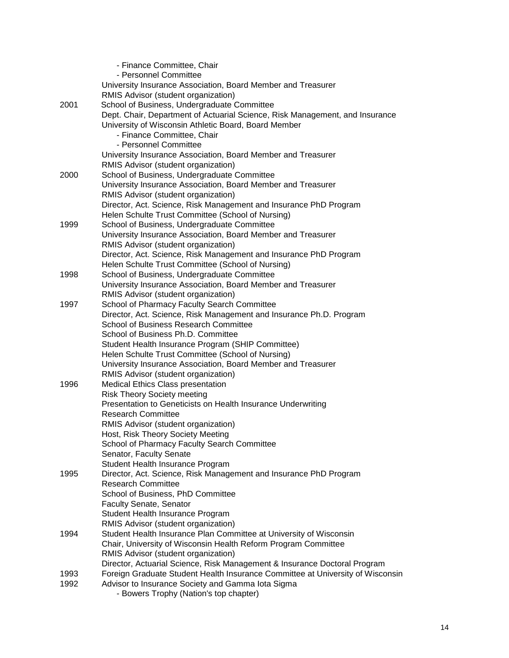|      | - Finance Committee, Chair                                                                                                                                  |
|------|-------------------------------------------------------------------------------------------------------------------------------------------------------------|
|      | - Personnel Committee                                                                                                                                       |
|      | University Insurance Association, Board Member and Treasurer                                                                                                |
|      | RMIS Advisor (student organization)                                                                                                                         |
| 2001 | School of Business, Undergraduate Committee                                                                                                                 |
|      | Dept. Chair, Department of Actuarial Science, Risk Management, and Insurance                                                                                |
|      | University of Wisconsin Athletic Board, Board Member                                                                                                        |
|      | - Finance Committee, Chair                                                                                                                                  |
|      | - Personnel Committee                                                                                                                                       |
|      | University Insurance Association, Board Member and Treasurer                                                                                                |
|      | RMIS Advisor (student organization)                                                                                                                         |
| 2000 | School of Business, Undergraduate Committee                                                                                                                 |
|      | University Insurance Association, Board Member and Treasurer                                                                                                |
|      | RMIS Advisor (student organization)                                                                                                                         |
|      | Director, Act. Science, Risk Management and Insurance PhD Program                                                                                           |
|      | Helen Schulte Trust Committee (School of Nursing)                                                                                                           |
| 1999 | School of Business, Undergraduate Committee                                                                                                                 |
|      | University Insurance Association, Board Member and Treasurer                                                                                                |
|      | RMIS Advisor (student organization)                                                                                                                         |
|      | Director, Act. Science, Risk Management and Insurance PhD Program                                                                                           |
|      | Helen Schulte Trust Committee (School of Nursing)                                                                                                           |
| 1998 | School of Business, Undergraduate Committee                                                                                                                 |
|      | University Insurance Association, Board Member and Treasurer                                                                                                |
|      | RMIS Advisor (student organization)                                                                                                                         |
| 1997 | School of Pharmacy Faculty Search Committee                                                                                                                 |
|      | Director, Act. Science, Risk Management and Insurance Ph.D. Program                                                                                         |
|      | <b>School of Business Research Committee</b>                                                                                                                |
|      | School of Business Ph.D. Committee                                                                                                                          |
|      | Student Health Insurance Program (SHIP Committee)                                                                                                           |
|      | Helen Schulte Trust Committee (School of Nursing)                                                                                                           |
|      | University Insurance Association, Board Member and Treasurer                                                                                                |
|      | RMIS Advisor (student organization)                                                                                                                         |
| 1996 | Medical Ethics Class presentation                                                                                                                           |
|      | <b>Risk Theory Society meeting</b>                                                                                                                          |
|      | Presentation to Geneticists on Health Insurance Underwriting                                                                                                |
|      | <b>Research Committee</b>                                                                                                                                   |
|      | RMIS Advisor (student organization)                                                                                                                         |
|      | Host, Risk Theory Society Meeting                                                                                                                           |
|      | School of Pharmacy Faculty Search Committee                                                                                                                 |
|      | Senator, Faculty Senate                                                                                                                                     |
| 1995 | Student Health Insurance Program                                                                                                                            |
|      | Director, Act. Science, Risk Management and Insurance PhD Program<br><b>Research Committee</b>                                                              |
|      | School of Business, PhD Committee                                                                                                                           |
|      |                                                                                                                                                             |
|      | <b>Faculty Senate, Senator</b>                                                                                                                              |
|      | Student Health Insurance Program                                                                                                                            |
| 1994 | RMIS Advisor (student organization)                                                                                                                         |
|      | Student Health Insurance Plan Committee at University of Wisconsin                                                                                          |
|      | Chair, University of Wisconsin Health Reform Program Committee                                                                                              |
|      | RMIS Advisor (student organization)                                                                                                                         |
| 1993 | Director, Actuarial Science, Risk Management & Insurance Doctoral Program<br>Foreign Graduate Student Health Insurance Committee at University of Wisconsin |
| 1992 | Advisor to Insurance Society and Gamma lota Sigma                                                                                                           |
|      | - Bowers Trophy (Nation's top chapter)                                                                                                                      |
|      |                                                                                                                                                             |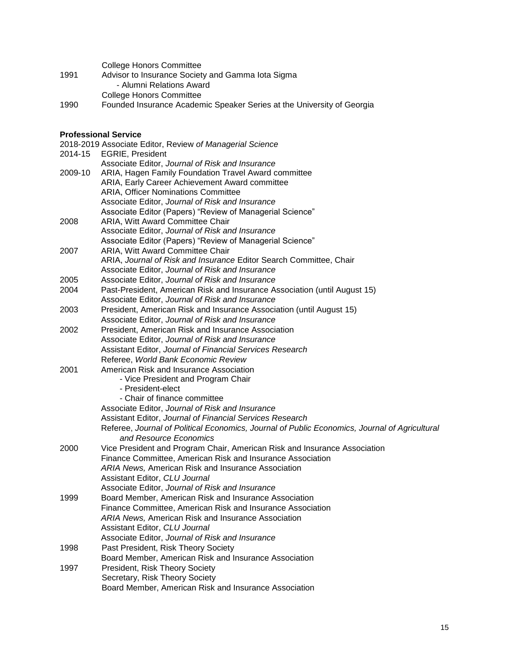|      | <b>College Honors Committee</b>                                  |
|------|------------------------------------------------------------------|
| 1991 | Advisor to Insurance Society and Gamma lota Sigma                |
|      | - Alumni Relations Award                                         |
|      | College Honors Committee                                         |
| 1000 | Faunded Incurrence Academic Creature Certes et the University of |

1990 Founded Insurance Academic Speaker Series at the University of Georgia

## **Professional Service**

|         | ι ιυισσοιυπαι σεινισσ<br>2018-2019 Associate Editor, Review of Managerial Science             |
|---------|-----------------------------------------------------------------------------------------------|
| 2014-15 | <b>EGRIE, President</b>                                                                       |
|         | Associate Editor, Journal of Risk and Insurance                                               |
| 2009-10 | ARIA, Hagen Family Foundation Travel Award committee                                          |
|         | ARIA, Early Career Achievement Award committee                                                |
|         | <b>ARIA, Officer Nominations Committee</b>                                                    |
|         | Associate Editor, Journal of Risk and Insurance                                               |
|         | Associate Editor (Papers) "Review of Managerial Science"                                      |
| 2008    | ARIA, Witt Award Committee Chair                                                              |
|         | Associate Editor, Journal of Risk and Insurance                                               |
|         | Associate Editor (Papers) "Review of Managerial Science"                                      |
| 2007    | ARIA, Witt Award Committee Chair                                                              |
|         | ARIA, Journal of Risk and Insurance Editor Search Committee, Chair                            |
|         | Associate Editor, Journal of Risk and Insurance                                               |
| 2005    | Associate Editor, Journal of Risk and Insurance                                               |
| 2004    | Past-President, American Risk and Insurance Association (until August 15)                     |
|         | Associate Editor, Journal of Risk and Insurance                                               |
| 2003    | President, American Risk and Insurance Association (until August 15)                          |
|         | Associate Editor, Journal of Risk and Insurance                                               |
| 2002    | President, American Risk and Insurance Association                                            |
|         | Associate Editor, Journal of Risk and Insurance                                               |
|         | Assistant Editor, Journal of Financial Services Research                                      |
|         | Referee, World Bank Economic Review                                                           |
| 2001    | American Risk and Insurance Association                                                       |
|         | - Vice President and Program Chair                                                            |
|         | - President-elect                                                                             |
|         | - Chair of finance committee                                                                  |
|         | Associate Editor, Journal of Risk and Insurance                                               |
|         | Assistant Editor, Journal of Financial Services Research                                      |
|         | Referee, Journal of Political Economics, Journal of Public Economics, Journal of Agricultural |
|         | and Resource Economics                                                                        |
| 2000    | Vice President and Program Chair, American Risk and Insurance Association                     |
|         | Finance Committee, American Risk and Insurance Association                                    |
|         | <b>ARIA News, American Risk and Insurance Association</b>                                     |
|         | Assistant Editor, CLU Journal                                                                 |
|         | Associate Editor, Journal of Risk and Insurance                                               |
| 1999    | Board Member, American Risk and Insurance Association                                         |
|         | Finance Committee, American Risk and Insurance Association                                    |
|         | <b>ARIA News, American Risk and Insurance Association</b>                                     |
|         | Assistant Editor, CLU Journal                                                                 |
|         | Associate Editor, Journal of Risk and Insurance                                               |
| 1998    | Past President, Risk Theory Society                                                           |
|         | Board Member, American Risk and Insurance Association                                         |
| 1997    | President, Risk Theory Society                                                                |
|         | Secretary, Risk Theory Society                                                                |
|         | Board Member, American Risk and Insurance Association                                         |
|         |                                                                                               |